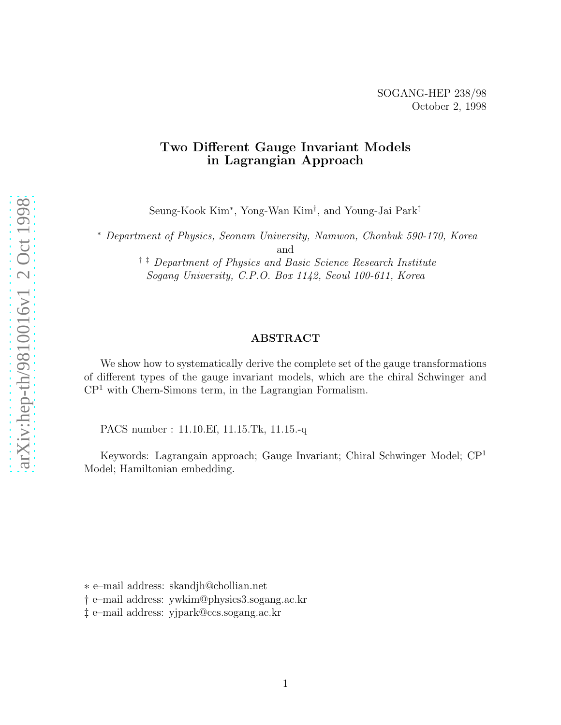#### Two Different Gauge Invariant Models in Lagrangian Approach

Seung-Kook Kim ∗ , Yong-Wan Kim † , and Young-Jai Park ‡

<sup>∗</sup> *Department of Physics, Seonam University, Namwon, Chonbuk 590-170, Korea* and

† ‡ *Department of Physics and Basic Science Research Institute Sogang University, C.P.O. Box 1142, Seoul 100-611, Korea*

#### ABSTRACT

We show how to systematically derive the complete set of the gauge transformations of different types of the gauge invariant models, which are the chiral Schwinger and CP <sup>1</sup> with Chern-Simons term, in the Lagrangian Formalism.

PACS number : 11.10.Ef, 11.15.Tk, 11.15.-q

Keywords: Lagrangain approach; Gauge Invariant; Chiral Schwinger Model; CP 1 Model; Hamiltonian embedding.

∗ e–mail address: skandjh@chollian.net

† e–mail address: ywkim@physics3.sogang.ac.kr

‡ e–mail address: yjpark@ccs.sogang.ac.kr1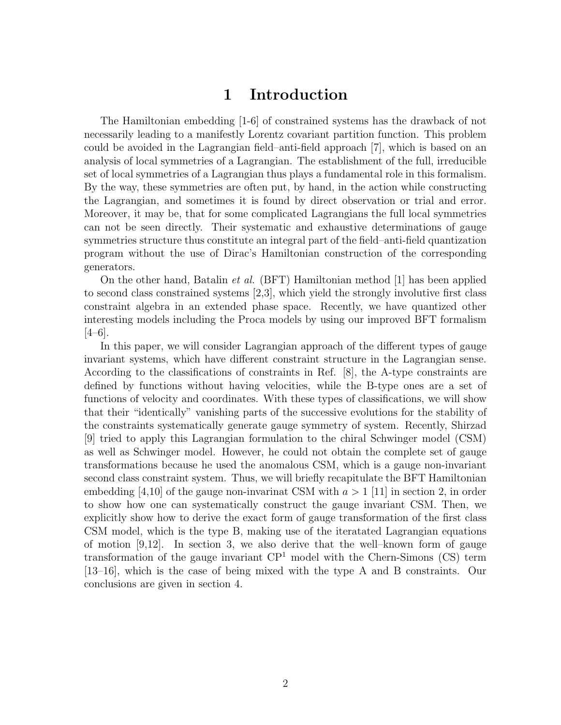## 1 Introduction

The Hamiltonian embedding [1-6] of constrained systems has the drawback of not necessarily leading to a manifestly Lorentz covariant partition function. This problem could be avoided in the Lagrangian field–anti-field approach [7], which is based on an analysis of local symmetries of a Lagrangian. The establishment of the full, irreducible set of local symmetries of a Lagrangian thus plays a fundamental role in this formalism. By the way, these symmetries are often put, by hand, in the action while constructing the Lagrangian, and sometimes it is found by direct observation or trial and error. Moreover, it may be, that for some complicated Lagrangians the full local symmetries can not be seen directly. Their systematic and exhaustive determinations of gauge symmetries structure thus constitute an integral part of the field–anti-field quantization program without the use of Dirac's Hamiltonian construction of the corresponding generators.

On the other hand, Batalin *et al.* (BFT) Hamiltonian method [1] has been applied to second class constrained systems [2,3], which yield the strongly involutive first class constraint algebra in an extended phase space. Recently, we have quantized other interesting models including the Proca models by using our improved BFT formalism [4–6].

In this paper, we will consider Lagrangian approach of the different types of gauge invariant systems, which have different constraint structure in the Lagrangian sense. According to the classifications of constraints in Ref. [8], the A-type constraints are defined by functions without having velocities, while the B-type ones are a set of functions of velocity and coordinates. With these types of classifications, we will show that their "identically" vanishing parts of the successive evolutions for the stability of the constraints systematically generate gauge symmetry of system. Recently, Shirzad [9] tried to apply this Lagrangian formulation to the chiral Schwinger model (CSM) as well as Schwinger model. However, he could not obtain the complete set of gauge transformations because he used the anomalous CSM, which is a gauge non-invariant second class constraint system. Thus, we will briefly recapitulate the BFT Hamiltonian embedding [4,10] of the gauge non-invarinat CSM with  $a > 1$  [11] in section 2, in order to show how one can systematically construct the gauge invariant CSM. Then, we explicitly show how to derive the exact form of gauge transformation of the first class CSM model, which is the type B, making use of the iteratated Lagrangian equations of motion [9,12]. In section 3, we also derive that the well–known form of gauge transformation of the gauge invariant  $\mathbb{CP}^1$  model with the Chern-Simons (CS) term [13–16], which is the case of being mixed with the type A and B constraints. Our conclusions are given in section 4.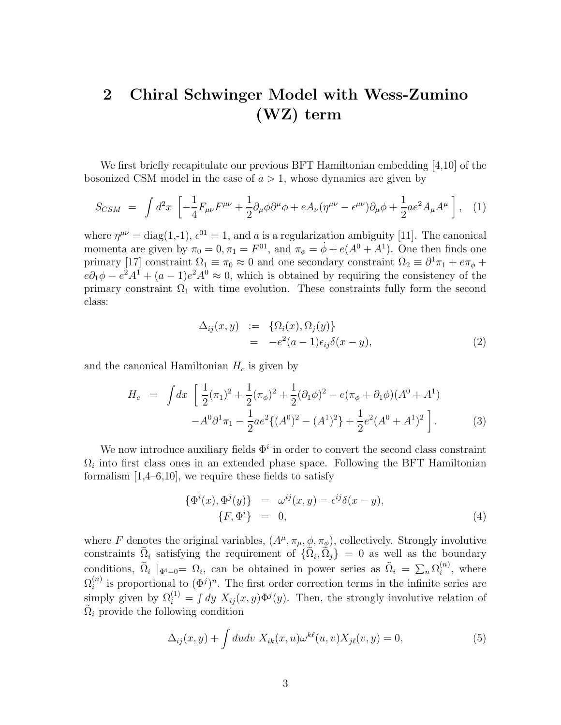# <span id="page-2-0"></span>2 Chiral Schwinger Model with Wess-Zumino (WZ) term

We first briefly recapitulate our previous BFT Hamiltonian embedding [4,10] of the bosonized CSM model in the case of  $a > 1$ , whose dynamics are given by

$$
S_{CSM} = \int d^2x \left[ -\frac{1}{4} F_{\mu\nu} F^{\mu\nu} + \frac{1}{2} \partial_\mu \phi \partial^\mu \phi + e A_\nu (\eta^{\mu\nu} - \epsilon^{\mu\nu}) \partial_\mu \phi + \frac{1}{2} a e^2 A_\mu A^\mu \right], \quad (1)
$$

where  $\eta^{\mu\nu} = \text{diag}(1, -1)$ ,  $\epsilon^{01} = 1$ , and a is a regularization ambiguity [11]. The canonical momenta are given by  $\pi_0 = 0, \pi_1 = F^{01}$ , and  $\pi_{\phi} = \dot{\phi} + e(A^0 + A^1)$ . One then finds one primary [17] constraint  $\Omega_1 \equiv \pi_0 \approx 0$  and one secondary constraint  $\Omega_2 \equiv \partial^1 \pi_1 + e \pi_{\phi} +$  $e\partial_1\phi - e^2A^1 + (a-1)e^2A^0 \approx 0$ , which is obtained by requiring the consistency of the primary constraint  $\Omega_1$  with time evolution. These constraints fully form the second class:

$$
\Delta_{ij}(x, y) := \{ \Omega_i(x), \Omega_j(y) \}
$$
  
= 
$$
-e^2(a-1)\epsilon_{ij}\delta(x-y),
$$
 (2)

and the canonical Hamiltonian  $H_c$  is given by

$$
H_c = \int dx \left[ \frac{1}{2} (\pi_1)^2 + \frac{1}{2} (\pi_\phi)^2 + \frac{1}{2} (\partial_1 \phi)^2 - e (\pi_\phi + \partial_1 \phi) (A^0 + A^1) - A^0 \partial^1 \pi_1 - \frac{1}{2} a e^2 \{ (A^0)^2 - (A^1)^2 \} + \frac{1}{2} e^2 (A^0 + A^1)^2 \right].
$$
 (3)

We now introduce auxiliary fields  $\Phi^i$  in order to convert the second class constraint  $\Omega_i$  into first class ones in an extended phase space. Following the BFT Hamiltonian formalism  $[1,4–6,10]$ , we require these fields to satisfy

$$
\begin{aligned}\n\{\Phi^i(x), \Phi^j(y)\} &= \omega^{ij}(x, y) = \epsilon^{ij}\delta(x - y), \\
\{F, \Phi^i\} &= 0,\n\end{aligned} \tag{4}
$$

where F denotes the original variables,  $(A^{\mu}, \pi_{\mu}, \phi, \pi_{\phi})$ , collectively. Strongly involutive constraints  $\Omega_i$  satisfying the requirement of  $\{\Omega_i, \Omega_j\} = 0$  as well as the boundary conditions,  $\tilde{\Omega}_i \mid_{\Phi^i=0} = \Omega_i$ , can be obtained in power series as  $\tilde{\Omega}_i = \sum_n \Omega_i^{(n)}$  $i^{(n)}$ , where  $\Omega^{(n)}_i$  $\binom{n}{i}$  is proportional to  $(\Phi^j)^n$ . The first order correction terms in the infinite series are simply given by  $\Omega_i^{(1)} = \int dy X_{ij}(x, y) \Phi^j(y)$ . Then, the strongly involutive relation of  $\tilde{\Omega}_i$  provide the following condition

$$
\Delta_{ij}(x,y) + \int du dv X_{ik}(x,u)\omega^{k\ell}(u,v)X_{j\ell}(v,y) = 0,
$$
\n(5)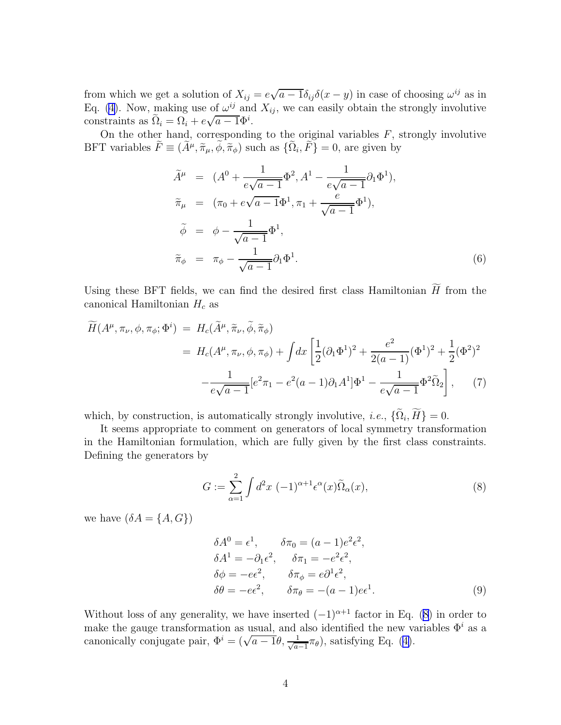<span id="page-3-0"></span>from which we get a solution of  $X_{ij} = e\sqrt{a-1}\delta_{ij}\delta(x-y)$  in case of choosing  $\omega^{ij}$  as in Eq. [\(4\)](#page-2-0). Now, making use of  $\omega^{ij}$  and  $X_{ij}$ , we can easily obtain the strongly involutive constraints as  $\tilde{\Omega}_i = \Omega_i + e\sqrt{a-1}\Phi^i$ .

On the other hand, corresponding to the original variables  $F$ , strongly involutive BFT variables  $\tilde{F} \equiv (\tilde{A}^{\mu}, \tilde{\pi}_{\mu}, \phi, \tilde{\pi}_{\phi})$  such as  $\{\tilde{\Omega}_i, \tilde{F}\} = 0$ , are given by

$$
\tilde{A}^{\mu} = (A^{0} + \frac{1}{e\sqrt{a-1}}\Phi^{2}, A^{1} - \frac{1}{e\sqrt{a-1}}\partial_{1}\Phi^{1}),
$$
\n
$$
\tilde{\pi}_{\mu} = (\pi_{0} + e\sqrt{a-1}\Phi^{1}, \pi_{1} + \frac{e}{\sqrt{a-1}}\Phi^{1}),
$$
\n
$$
\tilde{\phi} = \phi - \frac{1}{\sqrt{a-1}}\Phi^{1},
$$
\n
$$
\tilde{\pi}_{\phi} = \pi_{\phi} - \frac{1}{\sqrt{a-1}}\partial_{1}\Phi^{1}.
$$
\n(6)

Using these BFT fields, we can find the desired first class Hamiltonian  $\widetilde{H}$  from the canonical Hamiltonian  $H_c$  as

$$
\widetilde{H}(A^{\mu}, \pi_{\nu}, \phi, \pi_{\phi}; \Phi^i) = H_c(\widetilde{A}^{\mu}, \widetilde{\pi}_{\nu}, \widetilde{\phi}, \widetilde{\pi}_{\phi}) \n= H_c(A^{\mu}, \pi_{\nu}, \phi, \pi_{\phi}) + \int dx \left[ \frac{1}{2} (\partial_1 \Phi^1)^2 + \frac{e^2}{2(a-1)} (\Phi^1)^2 + \frac{1}{2} (\Phi^2)^2 - \frac{1}{e\sqrt{a-1}} [e^2 \pi_1 - e^2 (a-1) \partial_1 A^1] \Phi^1 - \frac{1}{e\sqrt{a-1}} \Phi^2 \widetilde{\Omega}_2 \right],
$$
\n(7)

which, by construction, is automatically strongly involutive, *i.e.*,  $\{\Omega_i, H\} = 0$ .

It seems appropriate to comment on generators of local symmetry transformation in the Hamiltonian formulation, which are fully given by the first class constraints. Defining the generators by

$$
G := \sum_{\alpha=1}^{2} \int d^2x \, (-1)^{\alpha+1} \epsilon^{\alpha}(x) \tilde{\Omega}_{\alpha}(x), \tag{8}
$$

we have  $(\delta A = \{A, G\})$ 

$$
\delta A^{0} = \epsilon^{1}, \qquad \delta \pi_{0} = (a - 1)e^{2} \epsilon^{2},
$$
  
\n
$$
\delta A^{1} = -\partial_{1} \epsilon^{2}, \qquad \delta \pi_{1} = -e^{2} \epsilon^{2},
$$
  
\n
$$
\delta \phi = -e \epsilon^{2}, \qquad \delta \pi_{\phi} = e \partial^{1} \epsilon^{2},
$$
  
\n
$$
\delta \theta = -e \epsilon^{2}, \qquad \delta \pi_{\theta} = -(a - 1)e \epsilon^{1}.
$$
  
\n(9)

Without loss of any generality, we have inserted  $(-1)^{\alpha+1}$  factor in Eq. (8) in order to make the gauge transformation as usual, and also identified the new variables  $\Phi^i$  as a canonically conjugate pair,  $\Phi^i = (\sqrt{a-1}\theta, \frac{1}{\sqrt{a}})$  $\frac{1}{a-1}\pi_{\theta}$ ,satisfying Eq. ([4\)](#page-2-0).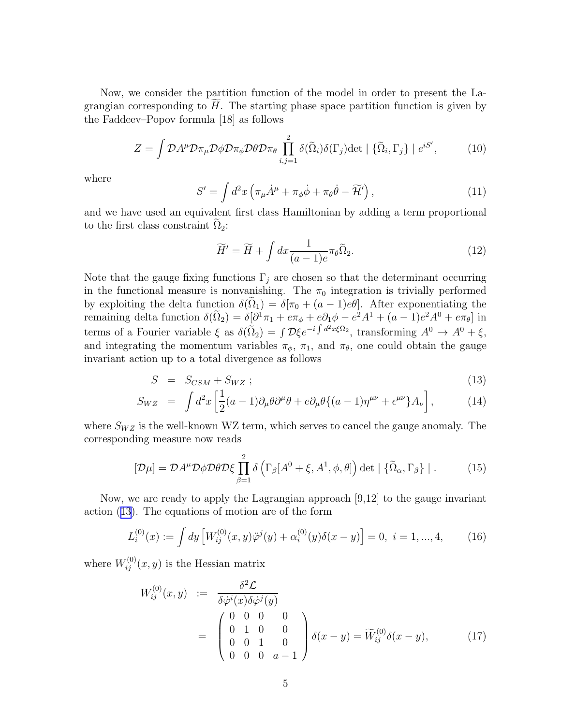<span id="page-4-0"></span>Now, we consider the partition function of the model in order to present the Lagrangian corresponding to  $H$ . The starting phase space partition function is given by the Faddeev–Popov formula [18] as follows

$$
Z = \int \mathcal{D}A^{\mu} \mathcal{D}\pi_{\mu} \mathcal{D}\phi \mathcal{D}\pi_{\phi} \mathcal{D}\theta \mathcal{D}\pi_{\theta} \prod_{i,j=1}^{2} \delta(\tilde{\Omega}_{i})\delta(\Gamma_{j}) \det \mid \{\tilde{\Omega}_{i}, \Gamma_{j}\} \mid e^{iS'}, \tag{10}
$$

where

$$
S' = \int d^2x \left( \pi_\mu \dot{A}^\mu + \pi_\phi \dot{\phi} + \pi_\theta \dot{\theta} - \widetilde{\mathcal{H}}' \right), \tag{11}
$$

and we have used an equivalent first class Hamiltonian by adding a term proportional to the first class constraint  $\Omega_2$ :

$$
\widetilde{H}' = \widetilde{H} + \int dx \frac{1}{(a-1)e} \pi_{\theta} \widetilde{\Omega}_2.
$$
\n(12)

Note that the gauge fixing functions  $\Gamma_j$  are chosen so that the determinant occurring in the functional measure is nonvanishing. The  $\pi_0$  integration is trivially performed by exploiting the delta function  $\delta(\Omega_1) = \delta[\pi_0 + (a-1)e\theta]$ . After exponentiating the remaining delta function  $\delta(\tilde{\Omega}_2) = \delta[\partial^1 \pi_1 + e \pi_\phi + e \partial_1 \phi - e^2 A^1 + (a-1)e^2 A^0 + e \pi_\theta]$  in terms of a Fourier variable  $\xi$  as  $\delta(\tilde{\Omega}_2) = \int \mathcal{D}\xi e^{-i \int d^2x\xi \tilde{\Omega}_2}$ , transforming  $A^0 \to A^0 + \xi$ , and integrating the momentum variables  $\pi_{\phi}$ ,  $\pi_1$ , and  $\pi_{\theta}$ , one could obtain the gauge invariant action up to a total divergence as follows

$$
S = S_{CSM} + S_{WZ} ; \t\t(13)
$$

$$
S_{WZ} = \int d^2x \left[ \frac{1}{2}(a-1)\partial_\mu\theta\partial^\mu\theta + e\partial_\mu\theta\{(a-1)\eta^{\mu\nu} + \epsilon^{\mu\nu}\}A_\nu \right],\tag{14}
$$

where  $S_{WZ}$  is the well-known WZ term, which serves to cancel the gauge anomaly. The corresponding measure now reads

$$
[\mathcal{D}\mu] = \mathcal{D}A^{\mu}\mathcal{D}\phi\mathcal{D}\theta\mathcal{D}\xi \prod_{\beta=1}^{2} \delta\left(\Gamma_{\beta}[A^{0}+\xi,A^{1},\phi,\theta]\right) \det\left|\left\{\widetilde{\Omega}_{\alpha},\Gamma_{\beta}\right\}\right|.
$$
 (15)

Now, we are ready to apply the Lagrangian approach [9,12] to the gauge invariant action (13). The equations of motion are of the form

$$
L_i^{(0)}(x) := \int dy \left[ W_{ij}^{(0)}(x, y) \ddot{\varphi}^j(y) + \alpha_i^{(0)}(y) \delta(x - y) \right] = 0, \ i = 1, ..., 4,
$$
 (16)

where  $W_{ij}^{(0)}(x, y)$  is the Hessian matrix

$$
W_{ij}^{(0)}(x,y) := \frac{\delta^2 \mathcal{L}}{\delta \dot{\varphi}^i(x) \delta \dot{\varphi}^j(y)}
$$
  
= 
$$
\begin{pmatrix} 0 & 0 & 0 & 0 \\ 0 & 1 & 0 & 0 \\ 0 & 0 & 1 & 0 \\ 0 & 0 & 0 & a-1 \end{pmatrix} \delta(x-y) = \widetilde{W}_{ij}^{(0)} \delta(x-y),
$$
 (17)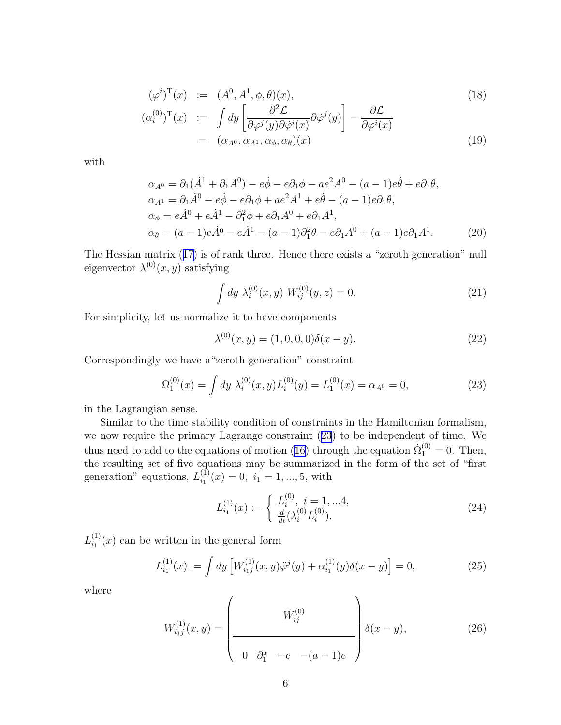<span id="page-5-0"></span>
$$
(\varphi^i)^{\mathrm{T}}(x) := (A^0, A^1, \phi, \theta)(x),
$$
  
\n
$$
(\alpha_i^{(0)})^{\mathrm{T}}(x) := \int dy \left[ \frac{\partial^2 \mathcal{L}}{\partial \varphi^j(y) \partial \dot{\varphi}^i(x)} \partial \dot{\varphi}^j(y) \right] - \frac{\partial \mathcal{L}}{\partial \varphi^i(x)}
$$
  
\n
$$
= (\alpha_{A^0}, \alpha_{A^1}, \alpha_{\phi}, \alpha_{\theta})(x)
$$
\n(19)

with

$$
\alpha_{A^0} = \partial_1(\dot{A}^1 + \partial_1 A^0) - e\dot{\phi} - e\partial_1 \phi - ae^2 A^0 - (a - 1)e\dot{\theta} + e\partial_1 \theta,
$$
  
\n
$$
\alpha_{A^1} = \partial_1 \dot{A}^0 - e\dot{\phi} - e\partial_1 \phi + ae^2 A^1 + e\dot{\theta} - (a - 1)e\partial_1 \theta,
$$
  
\n
$$
\alpha_{\phi} = e\dot{A}^0 + e\dot{A}^1 - \partial_1^2 \phi + e\partial_1 A^0 + e\partial_1 A^1,
$$
  
\n
$$
\alpha_{\theta} = (a - 1)e\dot{A}^0 - e\dot{A}^1 - (a - 1)\partial_1^2 \theta - e\partial_1 A^0 + (a - 1)e\partial_1 A^1.
$$
\n(20)

The Hessian matrix([17](#page-4-0)) is of rank three. Hence there exists a "zeroth generation" null eigenvector  $\lambda^{(0)}(x, y)$  satisfying

$$
\int dy \ \lambda_i^{(0)}(x, y) \ W_{ij}^{(0)}(y, z) = 0. \tag{21}
$$

For simplicity, let us normalize it to have components

$$
\lambda^{(0)}(x,y) = (1,0,0,0)\delta(x-y). \tag{22}
$$

Correspondingly we have a"zeroth generation" constraint

$$
\Omega_1^{(0)}(x) = \int dy \ \lambda_i^{(0)}(x, y) L_i^{(0)}(y) = L_1^{(0)}(x) = \alpha_{A^0} = 0,\tag{23}
$$

in the Lagrangian sense.

Similar to the time stability condition of constraints in the Hamiltonian formalism, we now require the primary Lagrange constraint (23) to be independent of time. We thus need to add to the equations of motion [\(16](#page-4-0)) through the equation  $\dot{\Omega}_1^{(0)} = 0$ . Then, the resulting set of five equations may be summarized in the form of the set of "first generation" equations,  $L_{i_1}^{(1)}$  $i_1^{(1)}(x) = 0, i_1 = 1, ..., 5$ , with

$$
L_{i_1}^{(1)}(x) := \begin{cases} L_i^{(0)}, \ i = 1, \dots 4, \\ \frac{d}{dt} (\lambda_i^{(0)} L_i^{(0)}). \end{cases}
$$
 (24)

 $L^{(1)}_{i_1}$  $i_1^{(1)}(x)$  can be written in the general form

$$
L_{i_1}^{(1)}(x) := \int dy \left[ W_{i_1 j}^{(1)}(x, y) \ddot{\varphi}^j(y) + \alpha_{i_1}^{(1)}(y) \delta(x - y) \right] = 0,
$$
 (25)

where

$$
W_{i_1j}^{(1)}(x,y) = \left(\begin{array}{c} \widetilde{W}_{ij}^{(0)} \\ \hline \\ 0 & \partial_1^x - e - (a-1)e \end{array}\right) \delta(x-y), \tag{26}
$$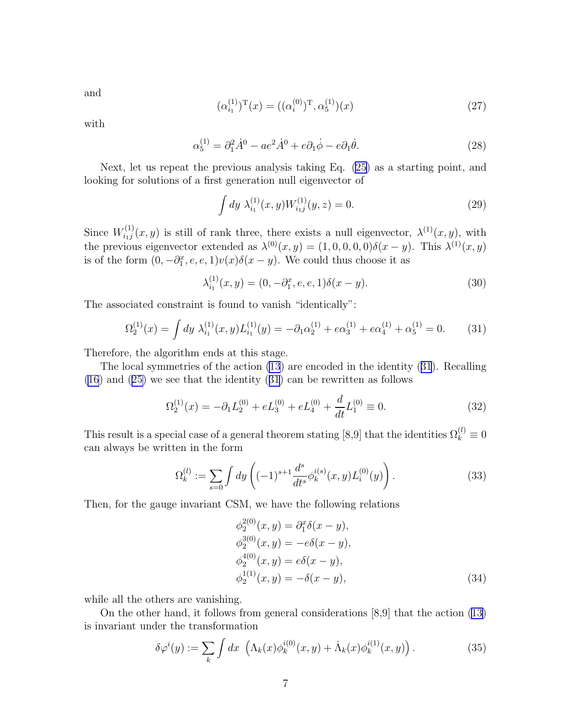<span id="page-6-0"></span>and

$$
(\alpha_{i_1}^{(1)})^{\mathrm{T}}(x) = ((\alpha_i^{(0)})^{\mathrm{T}}, \alpha_5^{(1)})(x)
$$
\n(27)

with

$$
\alpha_5^{(1)} = \partial_1^2 \dot{A}^0 - a e^2 \dot{A}^0 + e \partial_1 \dot{\phi} - e \partial_1 \dot{\theta}.\tag{28}
$$

Next, let us repeat the previous analysis taking Eq. [\(25](#page-5-0)) as a starting point, and looking for solutions of a first generation null eigenvector of

$$
\int dy \ \lambda_{i_1}^{(1)}(x,y) W_{i_1j}^{(1)}(y,z) = 0. \tag{29}
$$

Since  $W_{i_1j}^{(1)}$  $i_{i,j}^{(1)}(x,y)$  is still of rank three, there exists a null eigenvector,  $\lambda^{(1)}(x,y)$ , with the previous eigenvector extended as  $\lambda^{(0)}(x, y) = (1, 0, 0, 0, 0)\delta(x - y)$ . This  $\lambda^{(1)}(x, y)$ is of the form  $(0, -\partial_1^x, e, e, 1)v(x)\delta(x - y)$ . We could thus choose it as

$$
\lambda_{i_1}^{(1)}(x,y) = (0, -\partial_1^x, e, e, 1)\delta(x - y). \tag{30}
$$

The associated constraint is found to vanish "identically":

$$
\Omega_2^{(1)}(x) = \int dy \; \lambda_{i_1}^{(1)}(x, y) L_{i_1}^{(1)}(y) = -\partial_1 \alpha_2^{(1)} + e \alpha_3^{(1)} + e \alpha_4^{(1)} + \alpha_5^{(1)} = 0. \tag{31}
$$

Therefore, the algorithm ends at this stage.

The local symmetries of the action [\(13](#page-4-0)) are encoded in the identity (31). Recalling [\(16](#page-4-0)) and([25\)](#page-5-0) we see that the identity (31) can be rewritten as follows

$$
\Omega_2^{(1)}(x) = -\partial_1 L_2^{(0)} + e L_3^{(0)} + e L_4^{(0)} + \frac{d}{dt} L_1^{(0)} \equiv 0.
$$
\n(32)

This result is a special case of a general theorem stating [8,9] that the identities  $\Omega_k^{(l)} \equiv 0$ can always be written in the form

$$
\Omega_k^{(l)} := \sum_{s=0} \int dy \left( (-1)^{s+1} \frac{d^s}{dt^s} \phi_k^{i(s)}(x, y) L_i^{(0)}(y) \right).
$$
 (33)

Then, for the gauge invariant CSM, we have the following relations

$$
\phi_2^{2(0)}(x, y) = \partial_1^x \delta(x - y), \n\phi_2^{3(0)}(x, y) = -e\delta(x - y), \n\phi_2^{4(0)}(x, y) = e\delta(x - y), \n\phi_2^{1(1)}(x, y) = -\delta(x - y),
$$
\n(34)

while all the others are vanishing.

On the other hand, it follows from general considerations [8,9] that the action([13\)](#page-4-0) is invariant under the transformation

$$
\delta \varphi^i(y) := \sum_k \int dx \, \left( \Lambda_k(x) \phi_k^{i(0)}(x, y) + \dot{\Lambda}_k(x) \phi_k^{i(1)}(x, y) \right). \tag{35}
$$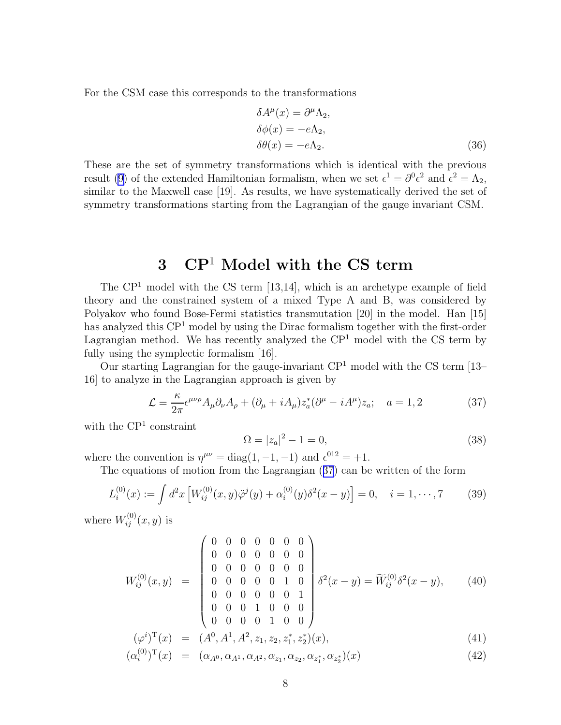<span id="page-7-0"></span>For the CSM case this corresponds to the transformations

$$
\delta A^{\mu}(x) = \partial^{\mu} \Lambda_2,
$$
  
\n
$$
\delta \phi(x) = -e \Lambda_2,
$$
  
\n
$$
\delta \theta(x) = -e \Lambda_2.
$$
\n(36)

These are the set of symmetry transformations which is identical with the previous result([9\)](#page-3-0) of the extended Hamiltonian formalism, when we set  $\epsilon^1 = \partial^0 \epsilon^2$  and  $\epsilon^2 = \Lambda_2$ , similar to the Maxwell case [19]. As results, we have systematically derived the set of symmetry transformations starting from the Lagrangian of the gauge invariant CSM.

## 3 CP<sup>1</sup> Model with the CS term

The  $\mathbb{CP}^1$  model with the CS term [13,14], which is an archetype example of field theory and the constrained system of a mixed Type A and B, was considered by Polyakov who found Bose-Fermi statistics transmutation [20] in the model. Han [15] has analyzed this  $\mathbb{C}P^1$  model by using the Dirac formalism together with the first-order Lagrangian method. We has recently analyzed the  $\mathbb{CP}^1$  model with the CS term by fully using the symplectic formalism [16].

Our starting Lagrangian for the gauge-invariant  $\mathbb{CP}^1$  model with the CS term [13– 16] to analyze in the Lagrangian approach is given by

$$
\mathcal{L} = \frac{\kappa}{2\pi} \epsilon^{\mu\nu\rho} A_{\mu} \partial_{\nu} A_{\rho} + (\partial_{\mu} + i A_{\mu}) z_a^* (\partial^{\mu} - i A^{\mu}) z_a; \quad a = 1, 2 \tag{37}
$$

with the  $\mathbb{CP}^1$  constraint

$$
\Omega = |z_a|^2 - 1 = 0,\t\t(38)
$$

where the convention is  $\eta^{\mu\nu} = \text{diag}(1, -1, -1)$  and  $\epsilon^{012} = +1$ .

The equations of motion from the Lagrangian (37) can be written of the form

$$
L_i^{(0)}(x) := \int d^2x \left[ W_{ij}^{(0)}(x, y)\ddot{\varphi}^j(y) + \alpha_i^{(0)}(y)\delta^2(x - y) \right] = 0, \quad i = 1, \cdots, 7
$$
 (39)

where  $W_{ij}^{(0)}(x,y)$  is

$$
W_{ij}^{(0)}(x,y) = \begin{pmatrix} 0 & 0 & 0 & 0 & 0 & 0 & 0 \\ 0 & 0 & 0 & 0 & 0 & 0 & 0 \\ 0 & 0 & 0 & 0 & 0 & 0 & 0 \\ 0 & 0 & 0 & 0 & 0 & 1 & 0 \\ 0 & 0 & 0 & 0 & 0 & 0 & 1 \\ 0 & 0 & 0 & 0 & 1 & 0 & 0 \end{pmatrix} \delta^{2}(x-y) = \widetilde{W}_{ij}^{(0)} \delta^{2}(x-y), \qquad (40)
$$

$$
(\varphi^i)^{\mathrm{T}}(x) = (A^0, A^1, A^2, z_1, z_2, z_1^*, z_2^*)(x),
$$
\n
$$
(\alpha^{(0)})^{\mathrm{T}}(x) = (\alpha \otimes \alpha \otimes \alpha \otimes \alpha \otimes \alpha \otimes \alpha)(x)
$$
\n(41)

$$
(\alpha_i^{(0)})^{\mathrm{T}}(x) = (\alpha_{A^0}, \alpha_{A^1}, \alpha_{A^2}, \alpha_{z_1}, \alpha_{z_2}, \alpha_{z_1^*}, \alpha_{z_2^*})(x)
$$
\n(42)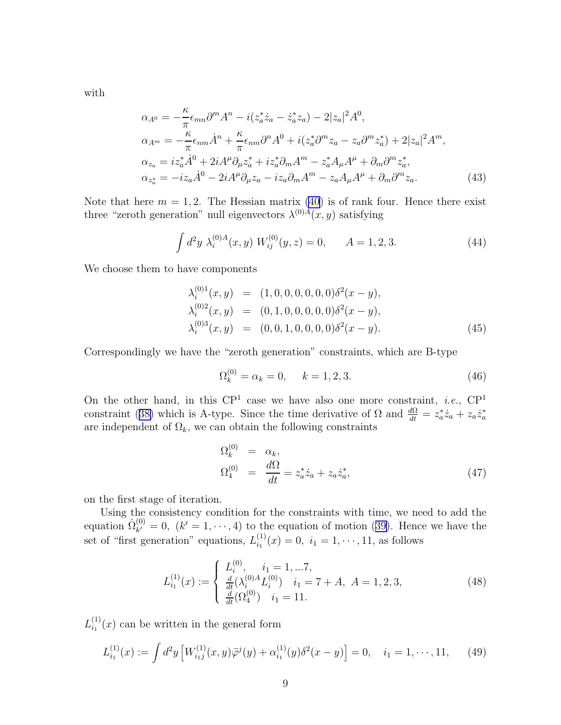<span id="page-8-0"></span>with

$$
\alpha_{A^0} = -\frac{\kappa}{\pi} \epsilon_{mn} \partial^m A^n - i(z_a^* \dot{z}_a - \dot{z}_a^* z_a) - 2|z_a|^2 A^0,
$$
  
\n
$$
\alpha_{A^m} = -\frac{\kappa}{\pi} \epsilon_{nm} \dot{A}^n + \frac{\kappa}{\pi} \epsilon_{nm} \partial^n A^0 + i(z_a^* \partial^m z_a - z_a \partial^m z_a^*) + 2|z_a|^2 A^m,
$$
  
\n
$$
\alpha_{z_a} = iz_a^* \dot{A}^0 + 2i A^\mu \partial_\mu z_a^* + iz_a^* \partial_m A^m - z_a^* A_\mu A^\mu + \partial_m \partial^m z_a^*,
$$
  
\n
$$
\alpha_{z_a^*} = -iz_a \dot{A}^0 - 2i A^\mu \partial_\mu z_a - iz_a \partial_m A^m - z_a A_\mu A^\mu + \partial_m \partial^m z_a.
$$
\n(43)

Note that here  $m = 1, 2$ . The Hessian matrix [\(40](#page-7-0)) is of rank four. Hence there exist three "zeroth generation" null eigenvectors  $\lambda^{(0)A}(x, y)$  satisfying

$$
\int d^2y \; \lambda_i^{(0)A}(x,y) \; W_{ij}^{(0)}(y,z) = 0, \qquad A = 1,2,3. \tag{44}
$$

We choose them to have components

$$
\lambda_i^{(0)1}(x, y) = (1, 0, 0, 0, 0, 0, 0)\delta^2(x - y), \n\lambda_i^{(0)2}(x, y) = (0, 1, 0, 0, 0, 0, 0)\delta^2(x - y), \n\lambda_i^{(0)3}(x, y) = (0, 0, 1, 0, 0, 0, 0)\delta^2(x - y).
$$
\n(45)

Correspondingly we have the "zeroth generation" constraints, which are B-type

$$
\Omega_k^{(0)} = \alpha_k = 0, \quad k = 1, 2, 3. \tag{46}
$$

On the other hand, in this  $\mathbb{CP}^1$  case we have also one more constraint, *i.e.*,  $\mathbb{CP}^1$ constraint([38\)](#page-7-0) which is A-type. Since the time derivative of  $\Omega$  and  $\frac{d\Omega}{dt} = z_a^* \dot{z}_a + z_a \dot{z}_a^*$ are independent of  $\Omega_k$ , we can obtain the following constraints

$$
\Omega_k^{(0)} = \alpha_k, \n\Omega_4^{(0)} = \frac{d\Omega}{dt} = z_a^* \dot{z}_a + z_a \dot{z}_a^*,
$$
\n(47)

on the first stage of iteration.

Using the consistency condition for the constraints with time, we need to add the equation  $\dot{\Omega}_{k'}^{(0)}$  $\lambda_{k'}^{(0)} = 0$  $\lambda_{k'}^{(0)} = 0$  $\lambda_{k'}^{(0)} = 0$ ,  $(k' = 1, \dots, 4)$  to the equation of motion ([39\)](#page-7-0). Hence we have the set of "first generation" equations,  $L_{i_1}^{(1)}$  $i_1^{(1)}(x) = 0, i_1 = 1, \dots, 11$ , as follows

$$
L_{i_1}^{(1)}(x) := \begin{cases} L_i^{(0)}, & i_1 = 1, \dots, 7, \\ \frac{d}{dt} (\lambda_i^{(0)A} L_i^{(0)}) & i_1 = 7 + A, \ A = 1, 2, 3, \\ \frac{d}{dt} (\Omega_4^{(0)}) & i_1 = 11. \end{cases}
$$
(48)

 $L^{(1)}_{i_1}$  $\binom{1}{i_1}(x)$  can be written in the general form

$$
L_{i_1}^{(1)}(x) := \int d^2y \left[ W_{i_1j}^{(1)}(x, y) \ddot{\varphi}^j(y) + \alpha_{i_1}^{(1)}(y) \delta^2(x - y) \right] = 0, \quad i_1 = 1, \cdots, 11,
$$
 (49)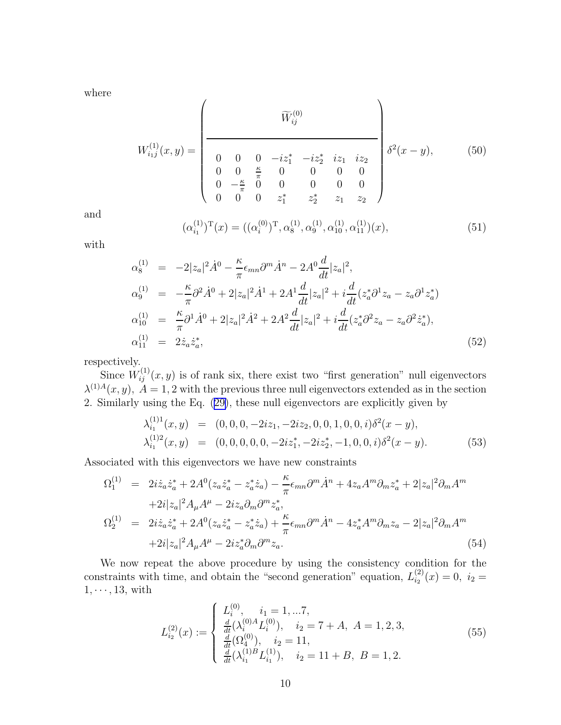where

$$
W_{i,j}^{(1)}(x,y) = \begin{pmatrix} \widetilde{W}_{ij}^{(0)} & & \\ \hline 0 & 0 & 0 & -iz_1^* & -iz_2^* & iz_1 & iz_2 \\ 0 & 0 & \frac{\kappa}{\pi} & 0 & 0 & 0 & 0 \\ 0 & -\frac{\kappa}{\pi} & 0 & 0 & 0 & 0 & 0 \\ 0 & 0 & z_1^* & z_2^* & z_1 & z_2 \end{pmatrix} \delta^2(x-y), \tag{50}
$$

and

$$
(\alpha_{i_1}^{(1)})^{\mathrm{T}}(x) = ((\alpha_i^{(0)})^{\mathrm{T}}, \alpha_8^{(1)}, \alpha_9^{(1)}, \alpha_{10}^{(1)}, \alpha_{11}^{(1)})(x), \qquad (51)
$$

with

$$
\alpha_8^{(1)} = -2|z_a|^2 \dot{A}^0 - \frac{\kappa}{\pi} \epsilon_{mn} \partial^m \dot{A}^n - 2A^0 \frac{d}{dt} |z_a|^2,
$$
  
\n
$$
\alpha_9^{(1)} = -\frac{\kappa}{\pi} \partial^2 \dot{A}^0 + 2|z_a|^2 \dot{A}^1 + 2A^1 \frac{d}{dt} |z_a|^2 + i \frac{d}{dt} (z_a^* \partial^1 z_a - z_a \partial^1 z_a^*)
$$
  
\n
$$
\alpha_{10}^{(1)} = \frac{\kappa}{\pi} \partial^1 \dot{A}^0 + 2|z_a|^2 \dot{A}^2 + 2A^2 \frac{d}{dt} |z_a|^2 + i \frac{d}{dt} (z_a^* \partial^2 z_a - z_a \partial^2 \dot{z}_a^*),
$$
  
\n
$$
\alpha_{11}^{(1)} = 2\dot{z}_a \dot{z}_a^*,
$$
\n(52)

respectively.

Since  $W_{ij}^{(1)}(x,y)$  is of rank six, there exist two "first generation" null eigenvectors  $\lambda^{(1)A}(x, y)$ ,  $A = 1, 2$  with the previous three null eigenvectors extended as in the section 2. Similarly using the Eq.([29\)](#page-6-0), these null eigenvectors are explicitly given by

$$
\lambda_{i_1}^{(1)1}(x,y) = (0,0,0,-2iz_1,-2iz_2,0,0,1,0,0,i)\delta^2(x-y),
$$
  
\n
$$
\lambda_{i_1}^{(1)2}(x,y) = (0,0,0,0,0,-2iz_1^*,-2iz_2^*,-1,0,0,i)\delta^2(x-y).
$$
\n(53)

Associated with this eigenvectors we have new constraints

$$
\Omega_{1}^{(1)} = 2i\dot{z}_{a}\dot{z}_{a}^{*} + 2A^{0}(z_{a}\dot{z}_{a}^{*} - z_{a}^{*}\dot{z}_{a}) - \frac{\kappa}{\pi}\epsilon_{mn}\partial^{m}\dot{A}^{n} + 4z_{a}A^{m}\partial_{m}z_{a}^{*} + 2|z_{a}|^{2}\partial_{m}A^{m}
$$
  
\n
$$
+2i|z_{a}|^{2}A_{\mu}A^{\mu} - 2iz_{a}\partial_{m}\partial^{m}z_{a}^{*},
$$
  
\n
$$
\Omega_{2}^{(1)} = 2i\dot{z}_{a}\dot{z}_{a}^{*} + 2A^{0}(z_{a}\dot{z}_{a}^{*} - z_{a}^{*}\dot{z}_{a}) + \frac{\kappa}{\pi}\epsilon_{mn}\partial^{m}\dot{A}^{n} - 4z_{a}^{*}A^{m}\partial_{m}z_{a} - 2|z_{a}|^{2}\partial_{m}A^{m}
$$
  
\n
$$
+2i|z_{a}|^{2}A_{\mu}A^{\mu} - 2iz_{a}^{*}\partial_{m}\partial^{m}z_{a}.
$$
  
\n(54)

We now repeat the above procedure by using the consistency condition for the constraints with time, and obtain the "second generation" equation,  $L_{i_2}^{(2)}$  $i_2^{(2)}(x) = 0, i_2 =$  $1, \cdots, 13$ , with

$$
L_{i_2}^{(2)}(x) := \begin{cases} L_i^{(0)}, \quad i_1 = 1, \dots, 7, \\ \frac{d}{dt} (\lambda_i^{(0)A} L_i^{(0)}), \quad i_2 = 7 + A, \ A = 1, 2, 3, \\ \frac{d}{dt} (\Omega_4^{(0)}), \quad i_2 = 11, \\ \frac{d}{dt} (\lambda_{i_1}^{(1)B} L_{i_1}^{(1)}), \quad i_2 = 11 + B, \ B = 1, 2. \end{cases}
$$
(55)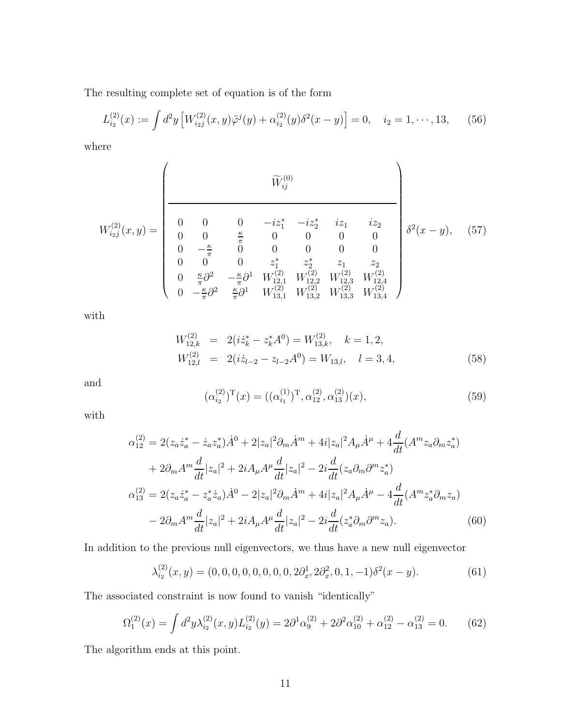<span id="page-10-0"></span>The resulting complete set of equation is of the form

$$
L_{i_2}^{(2)}(x) := \int d^2y \left[ W_{i_2j}^{(2)}(x, y) \ddot{\varphi}^j(y) + \alpha_{i_2}^{(2)}(y) \delta^2(x - y) \right] = 0, \quad i_2 = 1, \cdots, 13,
$$
 (56)

where

$$
W_{i_{2}j}^{(2)}(x,y) = \begin{pmatrix} \widetilde{W}_{ij}^{(0)} & \widetilde{W}_{ij}^{(0)} \\ 0 & 0 & 0 & -iz_1^* & -iz_2^* & iz_1 & iz_2 \\ 0 & 0 & \frac{\kappa}{\pi} & 0 & 0 & 0 & 0 \\ 0 & -\frac{\kappa}{\pi} & 0 & 0 & 0 & 0 & 0 \\ 0 & 0 & 0 & z_1^* & z_2^* & z_1 & z_2 \\ 0 & \frac{\kappa}{\pi}\partial^2 & -\frac{\kappa}{\pi}\partial^1 & W_{12,1}^{(2)} & W_{12,2}^{(2)} & W_{12,3}^{(2)} & W_{12,4}^{(2)} \\ 0 & -\frac{\kappa}{\pi}\partial^2 & \frac{\kappa}{\pi}\partial^1 & W_{13,1}^{(2)} & W_{13,2}^{(2)} & W_{13,3}^{(2)} & W_{13,4}^{(2)} \end{pmatrix}
$$
(57)

with

$$
W_{12,k}^{(2)} = 2(iz_k^* - z_k^*A^0) = W_{13,k}^{(2)}, \quad k = 1, 2,
$$
  
\n
$$
W_{12,l}^{(2)} = 2(iz_{l-2} - z_{l-2}A^0) = W_{13,l}, \quad l = 3, 4,
$$
\n(58)

and

$$
(\alpha_{i_2}^{(2)})^{\mathrm{T}}(x) = ((\alpha_{i_1}^{(1)})^{\mathrm{T}}, \alpha_{12}^{(2)}, \alpha_{13}^{(2)})(x), \qquad (59)
$$

with

$$
\alpha_{12}^{(2)} = 2(z_a \dot{z}_a^* - \dot{z}_a z_a^*) \dot{A}^0 + 2|z_a|^2 \partial_m \dot{A}^m + 4i|z_a|^2 A_\mu \dot{A}^\mu + 4\frac{d}{dt} (A^m z_a \partial_m z_a^*)
$$
  
+  $2\partial_m A^m \frac{d}{dt} |z_a|^2 + 2i A_\mu A^\mu \frac{d}{dt} |z_a|^2 - 2i \frac{d}{dt} (z_a \partial_m \partial^m z_a^*)$   

$$
\alpha_{13}^{(2)} = 2(z_a \dot{z}_a^* - z_a^* \dot{z}_a) \dot{A}^0 - 2|z_a|^2 \partial_m \dot{A}^m + 4i|z_a|^2 A_\mu \dot{A}^\mu - 4\frac{d}{dt} (A^m z_a^* \partial_m z_a)
$$
  
-  $2\partial_m A^m \frac{d}{dt} |z_a|^2 + 2i A_\mu A^\mu \frac{d}{dt} |z_a|^2 - 2i \frac{d}{dt} (z_a^* \partial_m \partial^m z_a).$  (60)

In addition to the previous null eigenvectors, we thus have a new null eigenvector

$$
\lambda_{i_2}^{(2)}(x,y) = (0,0,0,0,0,0,0,0,2\partial_x^1,2\partial_x^2,0,1,-1)\delta^2(x-y). \tag{61}
$$

The associated constraint is now found to vanish "identically"

$$
\Omega_1^{(2)}(x) = \int d^2y \lambda_{i_2}^{(2)}(x, y) L_{i_2}^{(2)}(y) = 2\partial^1 \alpha_9^{(2)} + 2\partial^2 \alpha_{10}^{(2)} + \alpha_{12}^{(2)} - \alpha_{13}^{(2)} = 0. \tag{62}
$$

The algorithm ends at this point.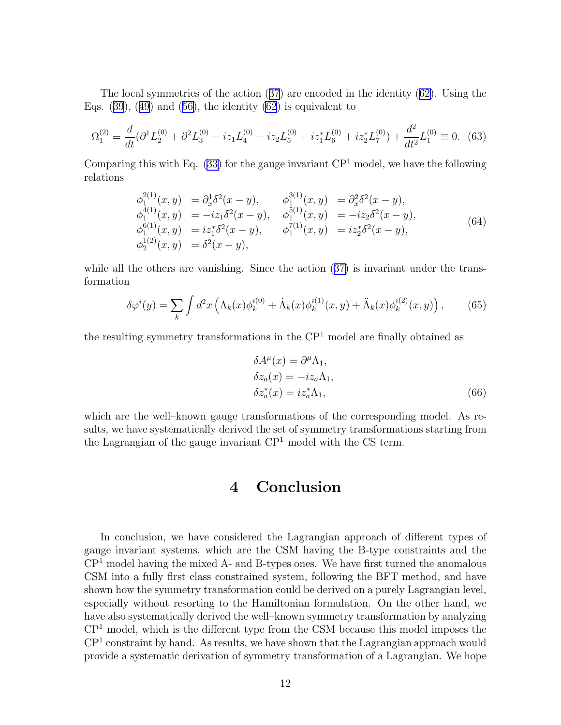The local symmetries of the action([37](#page-7-0)) are encoded in the identity([62\)](#page-10-0). Using the Eqs. $(39)$  $(39)$  $(39)$ ,  $(49)$  $(49)$  $(49)$  and  $(56)$ , the identity  $(62)$  is equivalent to

$$
\Omega_1^{(2)} = \frac{d}{dt} (\partial^1 L_2^{(0)} + \partial^2 L_3^{(0)} - iz_1 L_4^{(0)} - iz_2 L_5^{(0)} + iz_1^* L_6^{(0)} + iz_2^* L_7^{(0)}) + \frac{d^2}{dt^2} L_1^{(0)} \equiv 0. \tag{63}
$$

Comparing this with Eq.  $(33)$  for the gauge invariant CP<sup>1</sup> model, we have the following relations

$$
\begin{array}{rcl}\n\phi_1^{2(1)}(x,y) &=& \partial_x^1 \delta^2(x-y), \\
\phi_1^{4(1)}(x,y) &=& -iz_1 \delta^2(x-y), \\
\phi_1^{4(1)}(x,y) &=& -iz_1 \delta^2(x-y), \\
\phi_1^{6(1)}(x,y) &=& iz_1^* \delta^2(x-y), \\
\phi_1^{6(1)}(x,y) &=& iz_1^* \delta^2(x-y), \\
\phi_1^{1(1)}(x,y) &=& iz_2^* \delta^2(x-y), \\
\phi_2^{1(2)}(x,y) &=& \delta^2(x-y),\n\end{array}\n\tag{64}
$$

whileall the others are vanishing. Since the action  $(37)$  $(37)$  is invariant under the transformation

$$
\delta \varphi^i(y) = \sum_k \int d^2x \left( \Lambda_k(x) \phi_k^{i(0)} + \dot{\Lambda}_k(x) \phi_k^{i(1)}(x, y) + \ddot{\Lambda}_k(x) \phi_k^{i(2)}(x, y) \right), \tag{65}
$$

the resulting symmetry transformations in the  $\mathbb{CP}^1$  model are finally obtained as

$$
\delta A^{\mu}(x) = \partial^{\mu} \Lambda_1,
$$
  
\n
$$
\delta z_a(x) = -iz_a \Lambda_1,
$$
  
\n
$$
\delta z_a^*(x) = iz_a^* \Lambda_1,
$$
\n(66)

which are the well–known gauge transformations of the corresponding model. As results, we have systematically derived the set of symmetry transformations starting from the Lagrangian of the gauge invariant  $\mathbb{CP}^1$  model with the CS term.

## 4 Conclusion

In conclusion, we have considered the Lagrangian approach of different types of gauge invariant systems, which are the CSM having the B-type constraints and the  $\mathbb{CP}^1$  model having the mixed A- and B-types ones. We have first turned the anomalous CSM into a fully first class constrained system, following the BFT method, and have shown how the symmetry transformation could be derived on a purely Lagrangian level, especially without resorting to the Hamiltonian formulation. On the other hand, we have also systematically derived the well–known symmetry transformation by analyzing  $\mathbb{CP}^1$  model, which is the different type from the CSM because this model imposes the  $\mathbb{CP}^1$  constraint by hand. As results, we have shown that the Lagrangian approach would provide a systematic derivation of symmetry transformation of a Lagrangian. We hope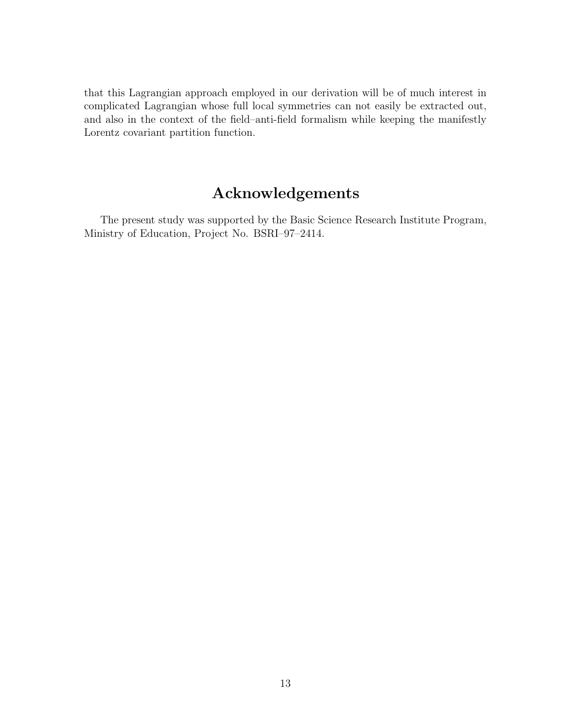that this Lagrangian approach employed in our derivation will be of much interest in complicated Lagrangian whose full local symmetries can not easily be extracted out, and also in the context of the field–anti-field formalism while keeping the manifestly Lorentz covariant partition function.

## Acknowledgements

The present study was supported by the Basic Science Research Institute Program, Ministry of Education, Project No. BSRI–97–2414.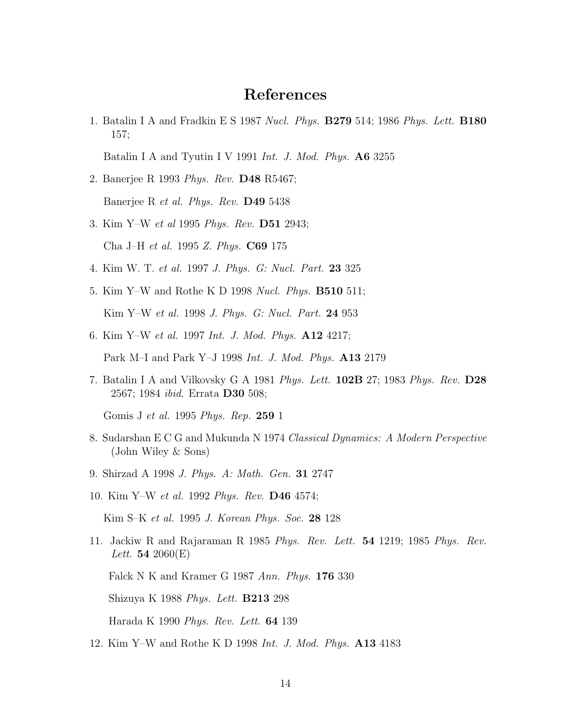## References

1. Batalin I A and Fradkin E S 1987 *Nucl. Phys.* B279 514; 1986 *Phys. Lett.* B180 157;

Batalin I A and Tyutin I V 1991 *Int. J. Mod. Phys.* A6 3255

- 2. Banerjee R 1993 *Phys. Rev.* D48 R5467; Banerjee R *et al. Phys. Rev.* D49 5438
- 3. Kim Y–W *et al* 1995 *Phys. Rev.* D51 2943; Cha J–H *et al.* 1995 *Z. Phys.* C69 175
- 4. Kim W. T. *et al.* 1997 *J. Phys. G: Nucl. Part.* 23 325
- 5. Kim Y–W and Rothe K D 1998 *Nucl. Phys.* B510 511; Kim Y–W *et al.* 1998 *J. Phys. G: Nucl. Part.* 24 953
- 6. Kim Y–W *et al.* 1997 *Int. J. Mod. Phys.* A12 4217; Park M–I and Park Y–J 1998 *Int. J. Mod. Phys.* A13 2179
- 7. Batalin I A and Vilkovsky G A 1981 *Phys. Lett.* 102B 27; 1983 *Phys. Rev.* D28 2567; 1984 *ibid*. Errata D30 508;

Gomis J *et al.* 1995 *Phys. Rep.* 259 1

- 8. Sudarshan E C G and Mukunda N 1974 *Classical Dynamics: A Modern Perspective* (John Wiley & Sons)
- 9. Shirzad A 1998 *J. Phys. A: Math. Gen.* 31 2747
- 10. Kim Y–W *et al.* 1992 *Phys. Rev.* D46 4574;

Kim S–K *et al.* 1995 *J. Korean Phys. Soc.* 28 128

11. Jackiw R and Rajaraman R 1985 *Phys. Rev. Lett.* 54 1219; 1985 *Phys. Rev. Lett.* 54 2060(E)

Falck N K and Kramer G 1987 *Ann. Phys.* 176 330

Shizuya K 1988 *Phys. Lett.* B213 298

Harada K 1990 *Phys. Rev. Lett.* 64 139

12. Kim Y–W and Rothe K D 1998 *Int. J. Mod. Phys.* A13 4183